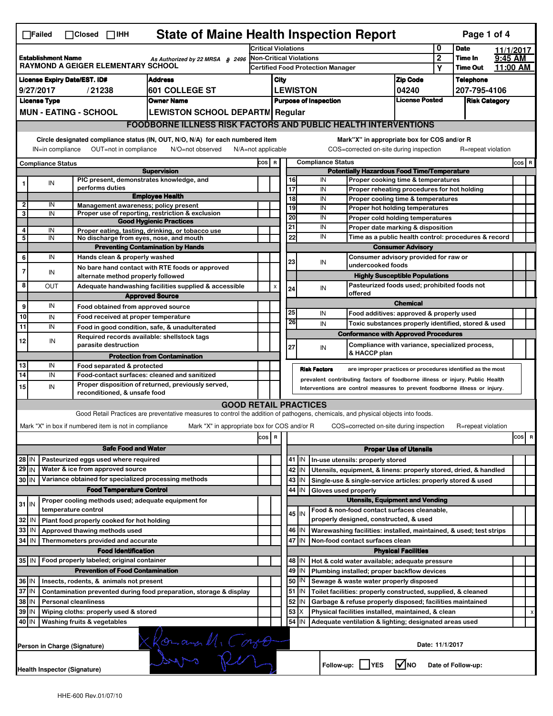| <b>State of Maine Health Inspection Report</b><br>Page 1 of 4<br>$\Box$ Failed<br>$\Box$ Closed $\Box$ IHH                                                                                                                                                                                |                                                                                                            |                                                       |                            |  |                                                                                                                                   |                                                                                                                                    |                                                                             |                                                                          |                                                                       |     |                                             |                                                                                               |                               |                      |                    |  |           |
|-------------------------------------------------------------------------------------------------------------------------------------------------------------------------------------------------------------------------------------------------------------------------------------------|------------------------------------------------------------------------------------------------------------|-------------------------------------------------------|----------------------------|--|-----------------------------------------------------------------------------------------------------------------------------------|------------------------------------------------------------------------------------------------------------------------------------|-----------------------------------------------------------------------------|--------------------------------------------------------------------------|-----------------------------------------------------------------------|-----|---------------------------------------------|-----------------------------------------------------------------------------------------------|-------------------------------|----------------------|--------------------|--|-----------|
|                                                                                                                                                                                                                                                                                           |                                                                                                            |                                                       |                            |  |                                                                                                                                   | <b>Critical Violations</b>                                                                                                         |                                                                             |                                                                          |                                                                       | 0   | <b>Date</b>                                 |                                                                                               | 11/1/2017                     |                      |                    |  |           |
| <b>Establishment Name</b><br>As Authorized by 22 MRSA § 2496<br><b>RAYMOND A GEIGER ELEMENTARY SCHOOL</b>                                                                                                                                                                                 |                                                                                                            |                                                       |                            |  |                                                                                                                                   | <b>Non-Critical Violations</b><br>Certified Food Protection Manager                                                                |                                                                             |                                                                          |                                                                       |     |                                             | $\overline{2}$                                                                                | Time In                       | $9:45$ AM            |                    |  |           |
|                                                                                                                                                                                                                                                                                           |                                                                                                            |                                                       |                            |  |                                                                                                                                   |                                                                                                                                    |                                                                             |                                                                          |                                                                       |     |                                             |                                                                                               |                               | Y                    | <b>Time Out</b>    |  | 11:00 AM  |
| <b>Address</b><br><b>License Expiry Date/EST. ID#</b>                                                                                                                                                                                                                                     |                                                                                                            |                                                       |                            |  |                                                                                                                                   |                                                                                                                                    | City                                                                        |                                                                          |                                                                       |     |                                             | <b>Zip Code</b>                                                                               |                               | <b>Telephone</b>     |                    |  |           |
| 601 COLLEGE ST<br>9/27/2017<br>/21238                                                                                                                                                                                                                                                     |                                                                                                            |                                                       |                            |  |                                                                                                                                   | <b>LEWISTON</b>                                                                                                                    |                                                                             |                                                                          |                                                                       |     |                                             | 04240                                                                                         |                               | 207-795-4106         |                    |  |           |
| <b>Owner Name</b><br><b>License Type</b>                                                                                                                                                                                                                                                  |                                                                                                            |                                                       |                            |  |                                                                                                                                   |                                                                                                                                    | <b>License Posted</b><br><b>Purpose of Inspection</b>                       |                                                                          |                                                                       |     |                                             |                                                                                               |                               | <b>Risk Category</b> |                    |  |           |
| <b>MUN - EATING - SCHOOL</b><br><b>LEWISTON SCHOOL DEPARTM Regular</b>                                                                                                                                                                                                                    |                                                                                                            |                                                       |                            |  |                                                                                                                                   |                                                                                                                                    |                                                                             |                                                                          |                                                                       |     |                                             |                                                                                               |                               |                      |                    |  |           |
|                                                                                                                                                                                                                                                                                           | <b>FOODBORNE ILLNESS RISK FACTORS AND PUBLIC HEALTH INTERVENTIONS</b>                                      |                                                       |                            |  |                                                                                                                                   |                                                                                                                                    |                                                                             |                                                                          |                                                                       |     |                                             |                                                                                               |                               |                      |                    |  |           |
| Circle designated compliance status (IN, OUT, N/O, N/A) for each numbered item<br>Mark"X" in appropriate box for COS and/or R<br>OUT=not in compliance<br>COS=corrected on-site during inspection<br>IN=in compliance<br>N/O=not observed<br>$N/A = not$ applicable<br>R=repeat violation |                                                                                                            |                                                       |                            |  |                                                                                                                                   |                                                                                                                                    |                                                                             |                                                                          |                                                                       |     |                                             |                                                                                               |                               |                      |                    |  |           |
| <b>Compliance Status</b><br>COS R<br><b>Compliance Status</b>                                                                                                                                                                                                                             |                                                                                                            |                                                       |                            |  |                                                                                                                                   |                                                                                                                                    |                                                                             |                                                                          | COS R                                                                 |     |                                             |                                                                                               |                               |                      |                    |  |           |
|                                                                                                                                                                                                                                                                                           |                                                                                                            |                                                       |                            |  | <b>Supervision</b>                                                                                                                |                                                                                                                                    |                                                                             |                                                                          |                                                                       |     |                                             | <b>Potentially Hazardous Food Time/Temperature</b>                                            |                               |                      |                    |  |           |
| 1                                                                                                                                                                                                                                                                                         | IN                                                                                                         |                                                       |                            |  | PIC present, demonstrates knowledge, and                                                                                          |                                                                                                                                    |                                                                             |                                                                          | 16                                                                    |     | IN                                          | Proper cooking time & temperatures                                                            |                               |                      |                    |  |           |
|                                                                                                                                                                                                                                                                                           |                                                                                                            |                                                       | performs duties            |  | <b>Employee Health</b>                                                                                                            |                                                                                                                                    |                                                                             |                                                                          | 17<br>18                                                              |     | IN                                          | Proper reheating procedures for hot holding                                                   |                               |                      |                    |  |           |
| $\overline{\mathbf{2}}$                                                                                                                                                                                                                                                                   | IN                                                                                                         |                                                       |                            |  | Management awareness; policy present                                                                                              |                                                                                                                                    |                                                                             |                                                                          | 19                                                                    |     | IN<br>IN                                    | Proper cooling time & temperatures<br>Proper hot holding temperatures                         |                               |                      |                    |  |           |
| 3                                                                                                                                                                                                                                                                                         | IN                                                                                                         |                                                       |                            |  | Proper use of reporting, restriction & exclusion                                                                                  |                                                                                                                                    |                                                                             |                                                                          | 20                                                                    |     | IN                                          | Proper cold holding temperatures                                                              |                               |                      |                    |  |           |
|                                                                                                                                                                                                                                                                                           |                                                                                                            |                                                       |                            |  | <b>Good Hygienic Practices</b>                                                                                                    |                                                                                                                                    |                                                                             |                                                                          | 21                                                                    |     | IN                                          | Proper date marking & disposition                                                             |                               |                      |                    |  |           |
| 4<br>5                                                                                                                                                                                                                                                                                    | IN<br>$\overline{\mathsf{IN}}$                                                                             |                                                       |                            |  | Proper eating, tasting, drinking, or tobacco use<br>No discharge from eyes, nose, and mouth                                       |                                                                                                                                    |                                                                             |                                                                          | 22                                                                    |     | IN                                          | Time as a public health control: procedures & record                                          |                               |                      |                    |  |           |
|                                                                                                                                                                                                                                                                                           |                                                                                                            |                                                       |                            |  | <b>Preventing Contamination by Hands</b>                                                                                          |                                                                                                                                    |                                                                             |                                                                          |                                                                       |     |                                             |                                                                                               | <b>Consumer Advisory</b>      |                      |                    |  |           |
| 6                                                                                                                                                                                                                                                                                         | IN                                                                                                         |                                                       |                            |  | Hands clean & properly washed                                                                                                     |                                                                                                                                    |                                                                             |                                                                          |                                                                       |     |                                             | Consumer advisory provided for raw or                                                         |                               |                      |                    |  |           |
|                                                                                                                                                                                                                                                                                           |                                                                                                            |                                                       |                            |  | No bare hand contact with RTE foods or approved                                                                                   |                                                                                                                                    |                                                                             |                                                                          | 23                                                                    |     | IN                                          | undercooked foods                                                                             |                               |                      |                    |  |           |
| $\overline{7}$                                                                                                                                                                                                                                                                            | IN                                                                                                         |                                                       |                            |  | alternate method properly followed                                                                                                |                                                                                                                                    |                                                                             |                                                                          |                                                                       |     |                                             | <b>Highly Susceptible Populations</b>                                                         |                               |                      |                    |  |           |
| 8                                                                                                                                                                                                                                                                                         | OUT                                                                                                        |                                                       |                            |  | Adequate handwashing facilities supplied & accessible                                                                             |                                                                                                                                    |                                                                             | $\mathsf{x}$                                                             | 24                                                                    |     | IN                                          | Pasteurized foods used; prohibited foods not                                                  |                               |                      |                    |  |           |
|                                                                                                                                                                                                                                                                                           |                                                                                                            |                                                       |                            |  | <b>Approved Source</b>                                                                                                            |                                                                                                                                    |                                                                             |                                                                          |                                                                       |     |                                             | offered                                                                                       |                               |                      |                    |  |           |
| 9                                                                                                                                                                                                                                                                                         | IN                                                                                                         |                                                       |                            |  | Food obtained from approved source                                                                                                |                                                                                                                                    |                                                                             |                                                                          | 25                                                                    |     | IN                                          |                                                                                               | <b>Chemical</b>               |                      |                    |  |           |
| 10                                                                                                                                                                                                                                                                                        | IN                                                                                                         |                                                       |                            |  | Food received at proper temperature                                                                                               |                                                                                                                                    |                                                                             |                                                                          | 26                                                                    |     | IN                                          | Food additives: approved & properly used                                                      |                               |                      |                    |  |           |
| 11                                                                                                                                                                                                                                                                                        | IN                                                                                                         |                                                       |                            |  | Food in good condition, safe, & unadulterated                                                                                     |                                                                                                                                    |                                                                             |                                                                          |                                                                       |     |                                             | Toxic substances properly identified, stored & used                                           |                               |                      |                    |  |           |
| 12                                                                                                                                                                                                                                                                                        | IN                                                                                                         |                                                       | parasite destruction       |  | Required records available: shellstock tags                                                                                       |                                                                                                                                    |                                                                             |                                                                          |                                                                       |     |                                             | <b>Conformance with Approved Procedures</b><br>Compliance with variance, specialized process, |                               |                      |                    |  |           |
|                                                                                                                                                                                                                                                                                           |                                                                                                            |                                                       |                            |  | <b>Protection from Contamination</b>                                                                                              |                                                                                                                                    |                                                                             |                                                                          | 27                                                                    |     | IN                                          | & HACCP plan                                                                                  |                               |                      |                    |  |           |
| 13                                                                                                                                                                                                                                                                                        | IN                                                                                                         |                                                       | Food separated & protected |  |                                                                                                                                   |                                                                                                                                    |                                                                             |                                                                          |                                                                       |     |                                             |                                                                                               |                               |                      |                    |  |           |
| 14                                                                                                                                                                                                                                                                                        | IN                                                                                                         |                                                       |                            |  | Food-contact surfaces: cleaned and sanitized                                                                                      |                                                                                                                                    |                                                                             |                                                                          |                                                                       |     | <b>Risk Factors</b>                         | are improper practices or procedures identified as the most                                   |                               |                      |                    |  |           |
| 15                                                                                                                                                                                                                                                                                        | IN                                                                                                         |                                                       |                            |  | Proper disposition of returned, previously served,                                                                                |                                                                                                                                    |                                                                             |                                                                          |                                                                       |     |                                             | prevalent contributing factors of foodborne illness or injury. Public Health                  |                               |                      |                    |  |           |
|                                                                                                                                                                                                                                                                                           | Interventions are control measures to prevent foodborne illness or injury.<br>reconditioned, & unsafe food |                                                       |                            |  |                                                                                                                                   |                                                                                                                                    |                                                                             |                                                                          |                                                                       |     |                                             |                                                                                               |                               |                      |                    |  |           |
|                                                                                                                                                                                                                                                                                           |                                                                                                            |                                                       |                            |  |                                                                                                                                   | <b>GOOD RETAIL PRACTICES</b>                                                                                                       |                                                                             |                                                                          |                                                                       |     |                                             |                                                                                               |                               |                      |                    |  |           |
|                                                                                                                                                                                                                                                                                           |                                                                                                            |                                                       |                            |  | Good Retail Practices are preventative measures to control the addition of pathogens, chemicals, and physical objects into foods. |                                                                                                                                    |                                                                             |                                                                          |                                                                       |     |                                             |                                                                                               |                               |                      |                    |  |           |
|                                                                                                                                                                                                                                                                                           |                                                                                                            | Mark "X" in box if numbered item is not in compliance |                            |  |                                                                                                                                   | Mark "X" in appropriate box for COS and/or R                                                                                       |                                                                             |                                                                          |                                                                       |     |                                             | COS=corrected on-site during inspection                                                       |                               |                      | R=repeat violation |  |           |
|                                                                                                                                                                                                                                                                                           |                                                                                                            |                                                       |                            |  |                                                                                                                                   |                                                                                                                                    | cos                                                                         | R                                                                        |                                                                       |     |                                             |                                                                                               |                               |                      |                    |  | cosl<br>R |
| <b>Safe Food and Water</b>                                                                                                                                                                                                                                                                |                                                                                                            |                                                       |                            |  |                                                                                                                                   |                                                                                                                                    |                                                                             |                                                                          |                                                                       |     |                                             |                                                                                               | <b>Proper Use of Utensils</b> |                      |                    |  |           |
| 28 IN                                                                                                                                                                                                                                                                                     |                                                                                                            | Pasteurized eggs used where required                  |                            |  |                                                                                                                                   |                                                                                                                                    |                                                                             |                                                                          | 41 $\vert$ IN<br>In-use utensils: properly stored                     |     |                                             |                                                                                               |                               |                      |                    |  |           |
| $29$ IN                                                                                                                                                                                                                                                                                   |                                                                                                            | Water & ice from approved source                      |                            |  |                                                                                                                                   |                                                                                                                                    |                                                                             |                                                                          | 42                                                                    | IN  |                                             | Utensils, equipment, & linens: properly stored, dried, & handled                              |                               |                      |                    |  |           |
| $30$ IN                                                                                                                                                                                                                                                                                   |                                                                                                            |                                                       |                            |  | Variance obtained for specialized processing methods                                                                              |                                                                                                                                    |                                                                             |                                                                          | 43                                                                    | IN. |                                             | Single-use & single-service articles: properly stored & used                                  |                               |                      |                    |  |           |
| <b>Food Temperature Control</b>                                                                                                                                                                                                                                                           |                                                                                                            |                                                       |                            |  |                                                                                                                                   |                                                                                                                                    |                                                                             | 44                                                                       | IN                                                                    |     | Gloves used properly                        |                                                                                               |                               |                      |                    |  |           |
| $31$ IN                                                                                                                                                                                                                                                                                   |                                                                                                            |                                                       |                            |  | Proper cooling methods used; adequate equipment for                                                                               |                                                                                                                                    |                                                                             |                                                                          |                                                                       |     |                                             | <b>Utensils, Equipment and Vending</b>                                                        |                               |                      |                    |  |           |
| temperature control                                                                                                                                                                                                                                                                       |                                                                                                            |                                                       |                            |  |                                                                                                                                   |                                                                                                                                    |                                                                             |                                                                          | 45 I IN                                                               |     | Food & non-food contact surfaces cleanable, |                                                                                               |                               |                      |                    |  |           |
| 32 IN<br>Plant food properly cooked for hot holding                                                                                                                                                                                                                                       |                                                                                                            |                                                       |                            |  |                                                                                                                                   | properly designed, constructed, & used                                                                                             |                                                                             |                                                                          |                                                                       |     |                                             |                                                                                               |                               |                      |                    |  |           |
| 33<br>Approved thawing methods used<br>I IN                                                                                                                                                                                                                                               |                                                                                                            |                                                       |                            |  |                                                                                                                                   |                                                                                                                                    | 46 IN<br>Warewashing facilities: installed, maintained, & used; test strips |                                                                          |                                                                       |     |                                             |                                                                                               |                               |                      |                    |  |           |
| 34<br>IN<br>Thermometers provided and accurate                                                                                                                                                                                                                                            |                                                                                                            |                                                       |                            |  |                                                                                                                                   |                                                                                                                                    |                                                                             |                                                                          | 47<br>IN.<br>Non-food contact surfaces clean                          |     |                                             |                                                                                               |                               |                      |                    |  |           |
|                                                                                                                                                                                                                                                                                           | <b>Food Identification</b><br><b>Physical Facilities</b>                                                   |                                                       |                            |  |                                                                                                                                   |                                                                                                                                    |                                                                             |                                                                          |                                                                       |     |                                             |                                                                                               |                               |                      |                    |  |           |
| $35$ IN<br>Food properly labeled; original container<br>48   IN<br>Hot & cold water available; adequate pressure                                                                                                                                                                          |                                                                                                            |                                                       |                            |  |                                                                                                                                   |                                                                                                                                    |                                                                             |                                                                          |                                                                       |     |                                             |                                                                                               |                               |                      |                    |  |           |
| <b>Prevention of Food Contamination</b>                                                                                                                                                                                                                                                   |                                                                                                            |                                                       |                            |  |                                                                                                                                   |                                                                                                                                    |                                                                             | 49<br>IN.<br>Plumbing installed; proper backflow devices                 |                                                                       |     |                                             |                                                                                               |                               |                      |                    |  |           |
|                                                                                                                                                                                                                                                                                           | 36 IN<br>Insects, rodents, & animals not present                                                           |                                                       |                            |  |                                                                                                                                   |                                                                                                                                    |                                                                             |                                                                          | 50<br> IN<br>Sewage & waste water properly disposed                   |     |                                             |                                                                                               |                               |                      |                    |  |           |
| 37 IN<br>Contamination prevented during food preparation, storage & display<br>38   IN<br><b>Personal cleanliness</b>                                                                                                                                                                     |                                                                                                            |                                                       |                            |  |                                                                                                                                   |                                                                                                                                    |                                                                             | 51<br>ΙM<br>Toilet facilities: properly constructed, supplied, & cleaned |                                                                       |     |                                             |                                                                                               |                               |                      |                    |  |           |
|                                                                                                                                                                                                                                                                                           |                                                                                                            |                                                       |                            |  |                                                                                                                                   |                                                                                                                                    |                                                                             |                                                                          | 52<br>ΙM<br>Garbage & refuse properly disposed; facilities maintained |     |                                             |                                                                                               |                               |                      |                    |  |           |
| 39<br>  IN<br>Wiping cloths: properly used & stored<br>40 IN<br>Washing fruits & vegetables                                                                                                                                                                                               |                                                                                                            |                                                       |                            |  |                                                                                                                                   | 53<br>Physical facilities installed, maintained, & clean<br>х<br>$54$ IN<br>Adequate ventilation & lighting; designated areas used |                                                                             |                                                                          |                                                                       |     | х                                           |                                                                                               |                               |                      |                    |  |           |
|                                                                                                                                                                                                                                                                                           |                                                                                                            |                                                       |                            |  |                                                                                                                                   |                                                                                                                                    |                                                                             |                                                                          |                                                                       |     |                                             |                                                                                               |                               |                      |                    |  |           |
|                                                                                                                                                                                                                                                                                           |                                                                                                            | Person in Charge (Signature)                          |                            |  | Komana M. Corso                                                                                                                   |                                                                                                                                    |                                                                             |                                                                          |                                                                       |     |                                             |                                                                                               |                               | Date: 11/1/2017      |                    |  |           |
|                                                                                                                                                                                                                                                                                           | l√lno<br>Follow-up:     YES<br>Date of Follow-up:<br><b>Health Inspector (Signature)</b>                   |                                                       |                            |  |                                                                                                                                   |                                                                                                                                    |                                                                             |                                                                          |                                                                       |     |                                             |                                                                                               |                               |                      |                    |  |           |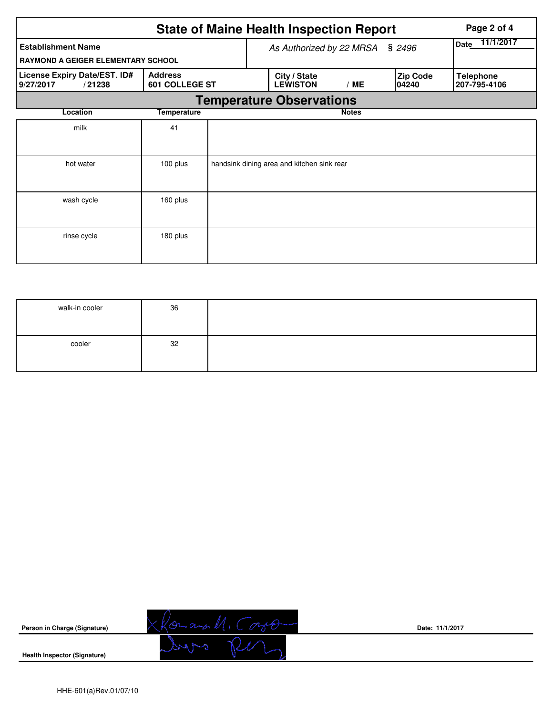|                                                     | Page 2 of 4                             |  |                                            |                          |                          |                                  |
|-----------------------------------------------------|-----------------------------------------|--|--------------------------------------------|--------------------------|--------------------------|----------------------------------|
| <b>Establishment Name</b>                           |                                         |  | As Authorized by 22 MRSA                   | 11/1/2017<br><b>Date</b> |                          |                                  |
| <b>RAYMOND A GEIGER ELEMENTARY SCHOOL</b>           |                                         |  |                                            |                          | \$2496                   |                                  |
| License Expiry Date/EST. ID#<br>9/27/2017<br>/21238 | <b>Address</b><br><b>601 COLLEGE ST</b> |  | City / State<br><b>LEWISTON</b>            | /ME                      | <b>Zip Code</b><br>04240 | <b>Telephone</b><br>207-795-4106 |
|                                                     |                                         |  | <b>Temperature Observations</b>            |                          |                          |                                  |
| Location                                            | <b>Temperature</b>                      |  |                                            | <b>Notes</b>             |                          |                                  |
| milk                                                | 41                                      |  |                                            |                          |                          |                                  |
| hot water                                           | 100 plus                                |  | handsink dining area and kitchen sink rear |                          |                          |                                  |
| wash cycle                                          | 160 plus                                |  |                                            |                          |                          |                                  |
| rinse cycle                                         | 180 plus                                |  |                                            |                          |                          |                                  |

| walk-in cooler | 36 |  |
|----------------|----|--|
| cooler         | 32 |  |



**Date: 11/1/2017**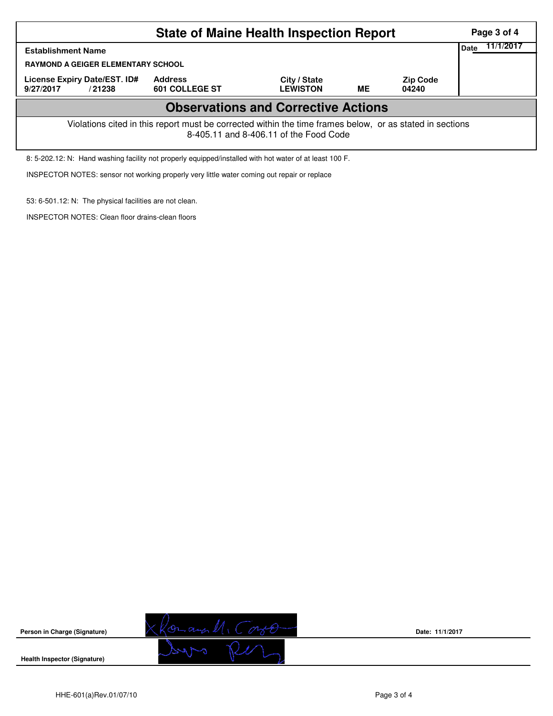|                                                                                                                                                    | Page 3 of 4                      |                                 |           |                          |  |  |  |  |
|----------------------------------------------------------------------------------------------------------------------------------------------------|----------------------------------|---------------------------------|-----------|--------------------------|--|--|--|--|
| <b>Establishment Name</b><br><b>RAYMOND A GEIGER ELEMENTARY SCHOOL</b>                                                                             | 11/1/2017<br>Date                |                                 |           |                          |  |  |  |  |
| License Expiry Date/EST. ID#<br>9/27/2017<br>/21238                                                                                                | <b>Address</b><br>601 COLLEGE ST | City / State<br><b>LEWISTON</b> | <b>ME</b> | <b>Zip Code</b><br>04240 |  |  |  |  |
| <b>Observations and Corrective Actions</b>                                                                                                         |                                  |                                 |           |                          |  |  |  |  |
| Violations cited in this report must be corrected within the time frames below, or as stated in sections<br>8-405.11 and 8-406.11 of the Food Code |                                  |                                 |           |                          |  |  |  |  |
| 8: 5-202.12: N: Hand washing facility not properly equipped/installed with hot water of at least 100 F.                                            |                                  |                                 |           |                          |  |  |  |  |

INSPECTOR NOTES: sensor not working properly very little water coming out repair or replace

53: 6-501.12: N: The physical facilities are not clean.

INSPECTOR NOTES: Clean floor drains-clean floors



**Date: 11/1/2017**